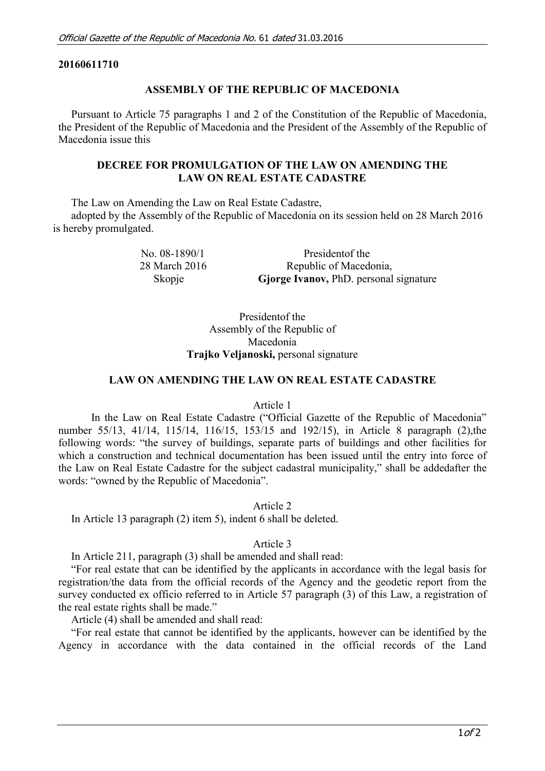## **20160611710**

## **ASSEMBLY OF THE REPUBLIC OF MACEDONIA**

Pursuant to Article 75 paragraphs 1 and 2 of the Constitution of the Republic of Macedonia, the President of the Republic of Macedonia and the President of the Assembly of the Republic of Macedonia issue this

## **DECREE FOR PROMULGATION OF THE LAW ON AMENDING THE LAW ON REAL ESTATE CADASTRE**

The Law on Amending the Law on Real Estate Cadastre,

adopted by the Assembly of the Republic of Macedonia on its session held on 28 March 2016 is hereby promulgated.

> No. 08-1890/1 Presidentof the 28 March 2016 Republic of Macedonia, Skopje **Gjorge Ivanov,** PhD. personal signature

> > Presidentof the Assembly of the Republic of Macedonia

**Trajko Veljanoski,** personal signature

### **LAW ON AMENDING THE LAW ON REAL ESTATE CADASTRE**

#### Article 1

In the Law on Real Estate Cadastre ("Official Gazette of the Republic of Macedonia" number 55/13, 41/14, 115/14, 116/15, 153/15 and 192/15), in Article 8 paragraph (2),the following words: "the survey of buildings, separate parts of buildings and other facilities for which a construction and technical documentation has been issued until the entry into force of the Law on Real Estate Cadastre for the subject cadastral municipality," shall be addedafter the words: "owned by the Republic of Macedonia".

Article 2

In Article 13 paragraph (2) item 5), indent 6 shall be deleted.

## Article 3

In Article 211, paragraph (3) shall be amended and shall read:

"For real estate that can be identified by the applicants in accordance with the legal basis for registration/the data from the official records of the Agency and the geodetic report from the survey conducted ex officio referred to in Article 57 paragraph (3) of this Law, a registration of the real estate rights shall be made."

Article (4) shall be amended and shall read:

"For real estate that cannot be identified by the applicants, however can be identified by the Agency in accordance with the data contained in the official records of the Land